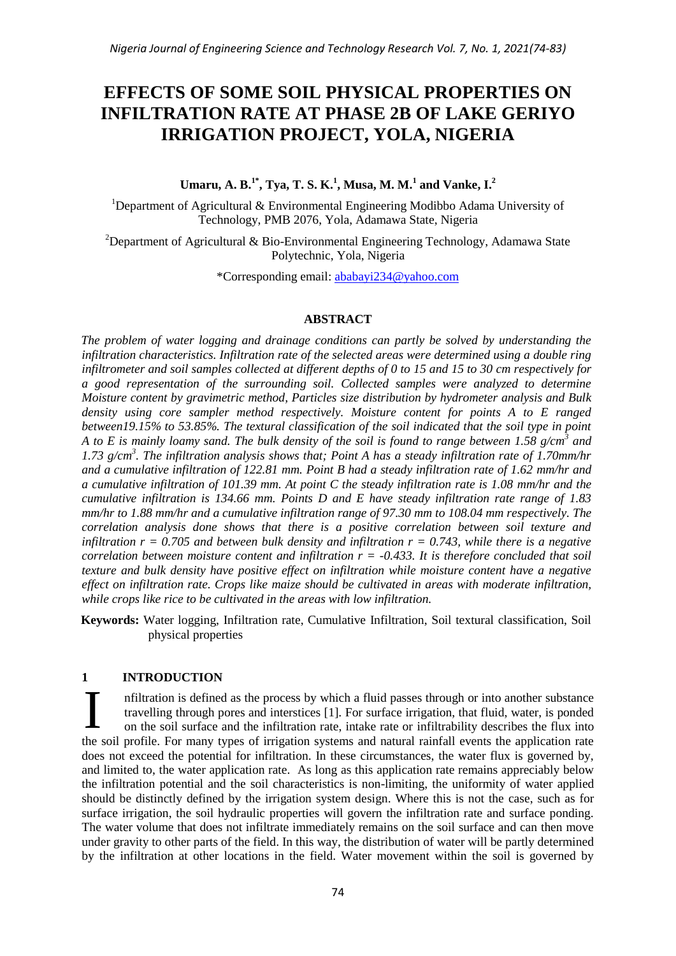# **EFFECTS OF SOME SOIL PHYSICAL PROPERTIES ON INFILTRATION RATE AT PHASE 2B OF LAKE GERIYO IRRIGATION PROJECT, YOLA, NIGERIA**

**Umaru, A. B.1\*, Tya, T. S. K.<sup>1</sup> , Musa, M. M.<sup>1</sup> and Vanke, I.<sup>2</sup>**

<sup>1</sup>Department of Agricultural & Environmental Engineering Modibbo Adama University of Technology, PMB 2076, Yola, Adamawa State, Nigeria

<sup>2</sup>Department of Agricultural & Bio-Environmental Engineering Technology, Adamawa State Polytechnic, Yola, Nigeria

\*Corresponding email: ababayi234@yahoo.com

#### **ABSTRACT**

*The problem of water logging and drainage conditions can partly be solved by understanding the infiltration characteristics. Infiltration rate of the selected areas were determined using a double ring infiltrometer and soil samples collected at different depths of 0 to 15 and 15 to 30 cm respectively for a good representation of the surrounding soil. Collected samples were analyzed to determine Moisture content by gravimetric method, Particles size distribution by hydrometer analysis and Bulk density using core sampler method respectively. Moisture content for points A to E ranged between19.15% to 53.85%. The textural classification of the soil indicated that the soil type in point A to E is mainly loamy sand. The bulk density of the soil is found to range between 1.58 g/cm<sup>3</sup> and 1.73 g/cm<sup>3</sup> . The infiltration analysis shows that; Point A has a steady infiltration rate of 1.70mm/hr and a cumulative infiltration of 122.81 mm. Point B had a steady infiltration rate of 1.62 mm/hr and a cumulative infiltration of 101.39 mm. At point C the steady infiltration rate is 1.08 mm/hr and the cumulative infiltration is 134.66 mm. Points D and E have steady infiltration rate range of 1.83 mm/hr to 1.88 mm/hr and a cumulative infiltration range of 97.30 mm to 108.04 mm respectively. The correlation analysis done shows that there is a positive correlation between soil texture and infiltration*  $r = 0.705$  *and between bulk density and infiltration*  $r = 0.743$ *, while there is a negative correlation between moisture content and infiltration r = -0.433. It is therefore concluded that soil texture and bulk density have positive effect on infiltration while moisture content have a negative effect on infiltration rate. Crops like maize should be cultivated in areas with moderate infiltration, while crops like rice to be cultivated in the areas with low infiltration.*

**Keywords:** Water logging, Infiltration rate, Cumulative Infiltration, Soil textural classification, Soil physical properties

# **1 INTRODUCTION**

nfiltration is defined as the process by which a fluid passes through or into another substance travelling through pores and interstices [1]. For surface irrigation, that fluid, water, is ponded on the soil surface and the infiltration rate, intake rate or infiltrability describes the flux into the soil profile. For many types of irrigation systems and natural rainfall events the application rate does not exceed the potential for infiltration. In these circumstances, the water flux is governed by, and limited to, the water application rate. As long as this application rate remains appreciably below the infiltration potential and the soil characteristics is non-limiting, the uniformity of water applied should be distinctly defined by the irrigation system design. Where this is not the case, such as for surface irrigation, the soil hydraulic properties will govern the infiltration rate and surface ponding. The water volume that does not infiltrate immediately remains on the soil surface and can then move under gravity to other parts of the field. In this way, the distribution of water will be partly determined by the infiltration at other locations in the field. Water movement within the soil is governed by I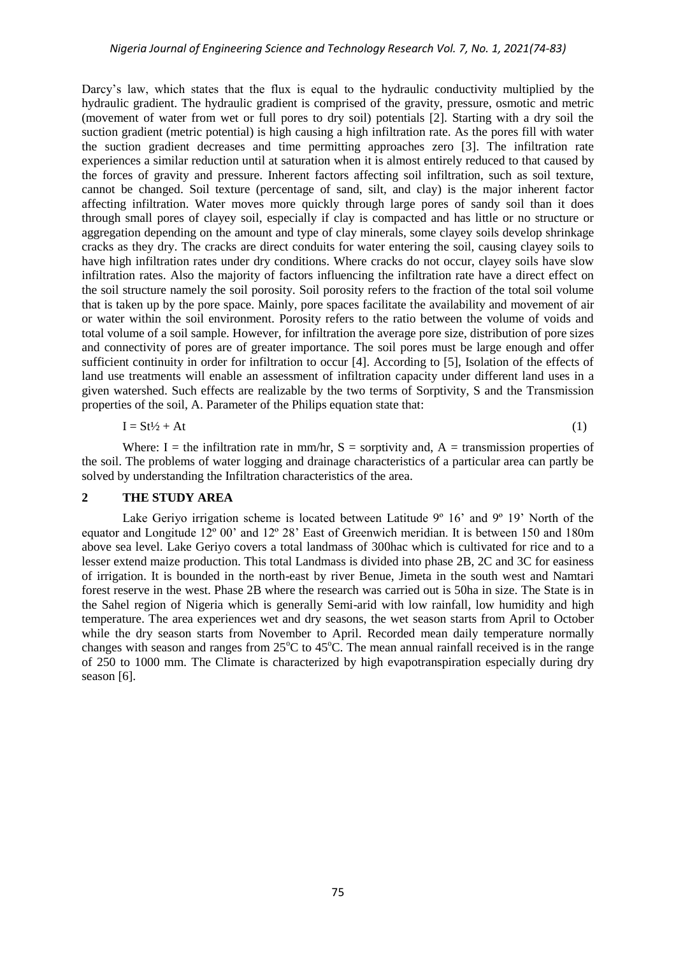Darcy's law, which states that the flux is equal to the hydraulic conductivity multiplied by the hydraulic gradient. The hydraulic gradient is comprised of the gravity, pressure, osmotic and metric (movement of water from wet or full pores to dry soil) potentials [2]. Starting with a dry soil the suction gradient (metric potential) is high causing a high infiltration rate. As the pores fill with water the suction gradient decreases and time permitting approaches zero [3]. The infiltration rate experiences a similar reduction until at saturation when it is almost entirely reduced to that caused by the forces of gravity and pressure. Inherent factors affecting soil infiltration, such as soil texture, cannot be changed. Soil texture (percentage of sand, silt, and clay) is the major inherent factor affecting infiltration. Water moves more quickly through large pores of sandy soil than it does through small pores of clayey soil, especially if clay is compacted and has little or no structure or aggregation depending on the amount and type of clay minerals, some clayey soils develop shrinkage cracks as they dry. The cracks are direct conduits for water entering the soil, causing clayey soils to have high infiltration rates under dry conditions. Where cracks do not occur, clayey soils have slow infiltration rates. Also the majority of factors influencing the infiltration rate have a direct effect on the soil structure namely the soil porosity. Soil porosity refers to the fraction of the total soil volume that is taken up by the pore space. Mainly, pore spaces facilitate the availability and movement of air or water within the soil environment. Porosity refers to the ratio between the volume of voids and total volume of a soil sample. However, for infiltration the average pore size, distribution of pore sizes and connectivity of pores are of greater importance. The soil pores must be large enough and offer sufficient continuity in order for infiltration to occur [4]. According to [5], Isolation of the effects of land use treatments will enable an assessment of infiltration capacity under different land uses in a given watershed. Such effects are realizable by the two terms of Sorptivity, S and the Transmission properties of the soil, A. Parameter of the Philips equation state that:

$$
I = St^{1/2} + At
$$
 (1)

Where: I = the infiltration rate in mm/hr,  $S =$  sorptivity and, A = transmission properties of the soil. The problems of water logging and drainage characteristics of a particular area can partly be solved by understanding the Infiltration characteristics of the area.

## **2 THE STUDY AREA**

Lake Geriyo irrigation scheme is located between Latitude  $9^{\circ}$  16' and  $9^{\circ}$  19' North of the equator and Longitude 12º 00' and 12º 28' East of Greenwich meridian. It is between 150 and 180m above sea level. Lake Geriyo covers a total landmass of 300hac which is cultivated for rice and to a lesser extend maize production. This total Landmass is divided into phase 2B, 2C and 3C for easiness of irrigation. It is bounded in the north-east by river Benue, Jimeta in the south west and Namtari forest reserve in the west. Phase 2B where the research was carried out is 50ha in size. The State is in the Sahel region of Nigeria which is generally Semi-arid with low rainfall, low humidity and high temperature. The area experiences wet and dry seasons, the wet season starts from April to October while the dry season starts from November to April. Recorded mean daily temperature normally changes with season and ranges from  $25^{\circ}$ C to  $45^{\circ}$ C. The mean annual rainfall received is in the range of 250 to 1000 mm. The Climate is characterized by high evapotranspiration especially during dry season [6].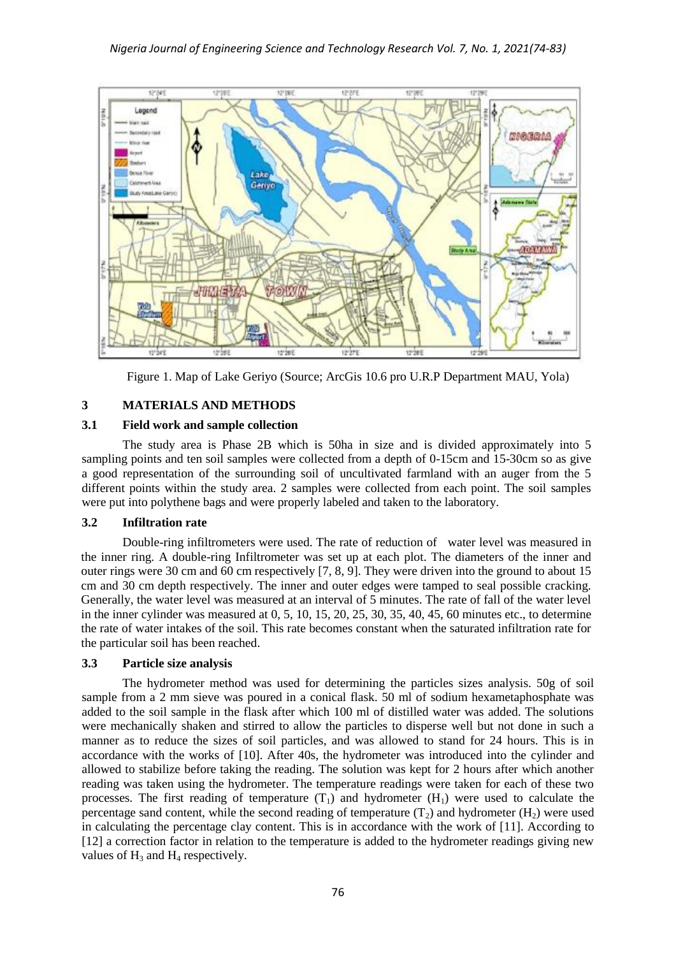

Figure 1. Map of Lake Geriyo (Source; ArcGis 10.6 pro U.R.P Department MAU, Yola)

# **3 MATERIALS AND METHODS**

# **3.1 Field work and sample collection**

The study area is Phase 2B which is 50ha in size and is divided approximately into 5 sampling points and ten soil samples were collected from a depth of 0-15cm and 15-30cm so as give a good representation of the surrounding soil of uncultivated farmland with an auger from the 5 different points within the study area. 2 samples were collected from each point. The soil samples were put into polythene bags and were properly labeled and taken to the laboratory.

# **3.2 Infiltration rate**

Double-ring infiltrometers were used. The rate of reduction of water level was measured in the inner ring. A double-ring Infiltrometer was set up at each plot. The diameters of the inner and outer rings were 30 cm and 60 cm respectively [7, 8, 9]. They were driven into the ground to about 15 cm and 30 cm depth respectively. The inner and outer edges were tamped to seal possible cracking. Generally, the water level was measured at an interval of 5 minutes. The rate of fall of the water level in the inner cylinder was measured at 0, 5, 10, 15, 20, 25, 30, 35, 40, 45, 60 minutes etc., to determine the rate of water intakes of the soil. This rate becomes constant when the saturated infiltration rate for the particular soil has been reached.

# **3.3 Particle size analysis**

The hydrometer method was used for determining the particles sizes analysis. 50g of soil sample from a 2 mm sieve was poured in a conical flask. 50 ml of sodium hexametaphosphate was added to the soil sample in the flask after which 100 ml of distilled water was added. The solutions were mechanically shaken and stirred to allow the particles to disperse well but not done in such a manner as to reduce the sizes of soil particles, and was allowed to stand for 24 hours. This is in accordance with the works of [10]. After 40s, the hydrometer was introduced into the cylinder and allowed to stabilize before taking the reading. The solution was kept for 2 hours after which another reading was taken using the hydrometer. The temperature readings were taken for each of these two processes. The first reading of temperature  $(T_1)$  and hydrometer  $(H_1)$  were used to calculate the percentage sand content, while the second reading of temperature  $(T_2)$  and hydrometer  $(H_2)$  were used in calculating the percentage clay content. This is in accordance with the work of [11]. According to [12] a correction factor in relation to the temperature is added to the hydrometer readings giving new values of  $H_3$  and  $H_4$  respectively.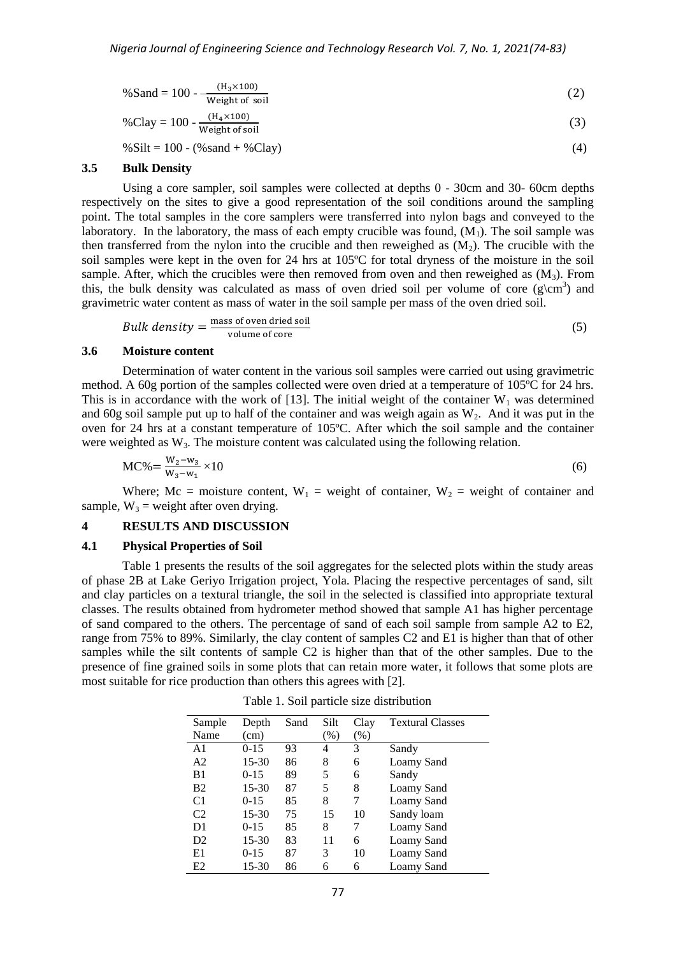$$
\% \text{ Sand} = 100 - \frac{(\text{H}_3 \times 100)}{\text{Weight of soil}}
$$
(2)  

$$
\% \text{Clay} = 100 - \frac{(\text{H}_4 \times 100)}{\text{Weight of soil}}
$$
(3)

 $% Silt = 100 - (%s and + %Clay)$  (4)

#### **3.5 Bulk Density**

Using a core sampler, soil samples were collected at depths 0 - 30cm and 30- 60cm depths respectively on the sites to give a good representation of the soil conditions around the sampling point. The total samples in the core samplers were transferred into nylon bags and conveyed to the laboratory. In the laboratory, the mass of each empty crucible was found,  $(M_1)$ . The soil sample was then transferred from the nylon into the crucible and then reweighed as  $(M<sub>2</sub>)$ . The crucible with the soil samples were kept in the oven for 24 hrs at 105ºC for total dryness of the moisture in the soil sample. After, which the crucibles were then removed from oven and then reweighed as  $(M_3)$ . From this, the bulk density was calculated as mass of oven dried soil per volume of core  $(g\$ cm<sup>3</sup>) and gravimetric water content as mass of water in the soil sample per mass of the oven dried soil.

*Bulk density* = 
$$
\frac{\text{mass of oven dried soil}}{\text{volume of core}}
$$
 (5)

#### **3.6 Moisture content**

Determination of water content in the various soil samples were carried out using gravimetric method. A 60g portion of the samples collected were oven dried at a temperature of 105ºC for 24 hrs. This is in accordance with the work of [13]. The initial weight of the container  $W_1$  was determined and 60g soil sample put up to half of the container and was weigh again as  $W_2$ . And it was put in the oven for 24 hrs at a constant temperature of 105ºC. After which the soil sample and the container were weighted as  $W_3$ . The moisture content was calculated using the following relation.

$$
MC\% = \frac{W_2 - w_3}{W_3 - w_1} \times 10
$$
\n(6)

Where; Mc = moisture content,  $W_1$  = weight of container,  $W_2$  = weight of container and sample,  $W_3$  = weight after oven drying.

## **4 RESULTS AND DISCUSSION**

#### **4.1 Physical Properties of Soil**

Table 1 presents the results of the soil aggregates for the selected plots within the study areas of phase 2B at Lake Geriyo Irrigation project, Yola. Placing the respective percentages of sand, silt and clay particles on a textural triangle, the soil in the selected is classified into appropriate textural classes. The results obtained from hydrometer method showed that sample A1 has higher percentage of sand compared to the others. The percentage of sand of each soil sample from sample A2 to E2, range from 75% to 89%. Similarly, the clay content of samples C2 and E1 is higher than that of other samples while the silt contents of sample C2 is higher than that of the other samples. Due to the presence of fine grained soils in some plots that can retain more water, it follows that some plots are most suitable for rice production than others this agrees with [2].

| Sample         | Depth    | Sand | Silt   | Clay | <b>Textural Classes</b> |
|----------------|----------|------|--------|------|-------------------------|
| Name           | (cm)     |      | $(\%)$ | (% ) |                         |
| A <sub>1</sub> | $0-15$   | 93   | 4      | 3    | Sandy                   |
| A <sub>2</sub> | 15-30    | 86   | 8      | 6    | Loamy Sand              |
| B <sub>1</sub> | $0-15$   | 89   | 5      | 6    | Sandy                   |
| <b>B2</b>      | 15-30    | 87   | 5      | 8    | Loamy Sand              |
| C <sub>1</sub> | $0 - 15$ | 85   | 8      | 7    | Loamy Sand              |
| C <sub>2</sub> | 15-30    | 75   | 15     | 10   | Sandy loam              |
| D1             | $0 - 15$ | 85   | 8      | 7    | Loamy Sand              |
| D <sub>2</sub> | 15-30    | 83   | 11     | 6    | Loamy Sand              |
| E1             | $0 - 15$ | 87   | 3      | 10   | Loamy Sand              |
| E2             | 15-30    | 86   | 6      | 6    | Loamy Sand              |

Table 1. Soil particle size distribution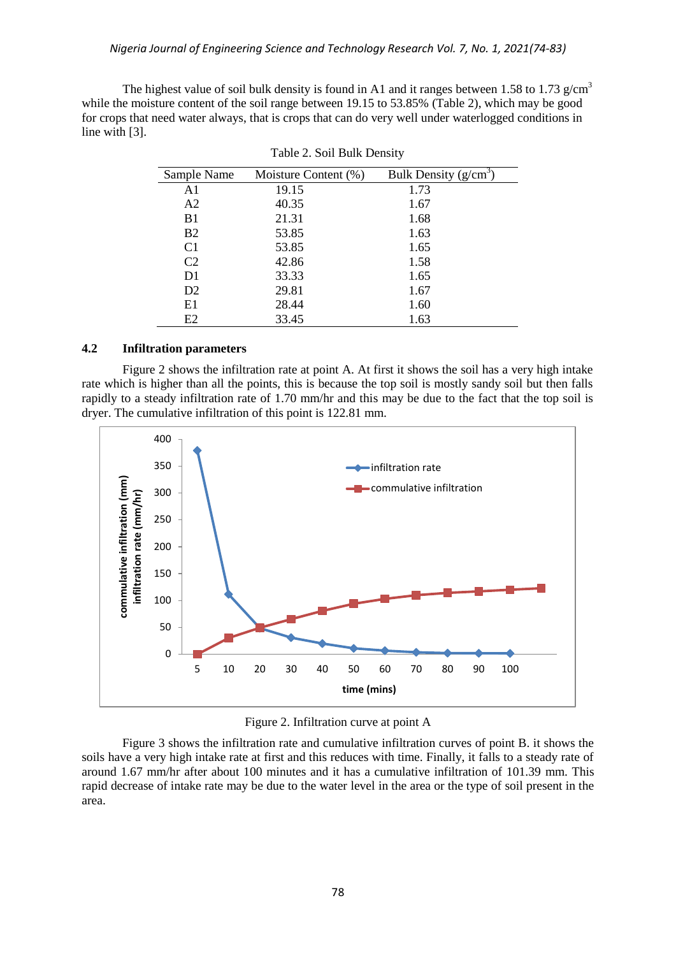The highest value of soil bulk density is found in A1 and it ranges between 1.58 to 1.73 g/cm<sup>3</sup> while the moisture content of the soil range between 19.15 to 53.85% (Table 2), which may be good for crops that need water always, that is crops that can do very well under waterlogged conditions in line with [3].

| Sample Name    | Moisture Content (%) | Bulk Density $(g/cm^3)$ |
|----------------|----------------------|-------------------------|
| A <sub>1</sub> | 19.15                | 1.73                    |
| A <sub>2</sub> | 40.35                | 1.67                    |
| B <sub>1</sub> | 21.31                | 1.68                    |
| <b>B2</b>      | 53.85                | 1.63                    |
| C <sub>1</sub> | 53.85                | 1.65                    |
| C2             | 42.86                | 1.58                    |
| D1             | 33.33                | 1.65                    |
| D <sub>2</sub> | 29.81                | 1.67                    |
| E1             | 28.44                | 1.60                    |
| E2             | 33.45                | 1.63                    |

|  |  | Table 2. Soil Bulk Density |
|--|--|----------------------------|
|  |  |                            |

# **4.2 Infiltration parameters**

Figure 2 shows the infiltration rate at point A. At first it shows the soil has a very high intake rate which is higher than all the points, this is because the top soil is mostly sandy soil but then falls rapidly to a steady infiltration rate of 1.70 mm/hr and this may be due to the fact that the top soil is dryer. The cumulative infiltration of this point is 122.81 mm.



Figure 2. Infiltration curve at point A

Figure 3 shows the infiltration rate and cumulative infiltration curves of point B. it shows the soils have a very high intake rate at first and this reduces with time. Finally, it falls to a steady rate of around 1.67 mm/hr after about 100 minutes and it has a cumulative infiltration of 101.39 mm. This rapid decrease of intake rate may be due to the water level in the area or the type of soil present in the area.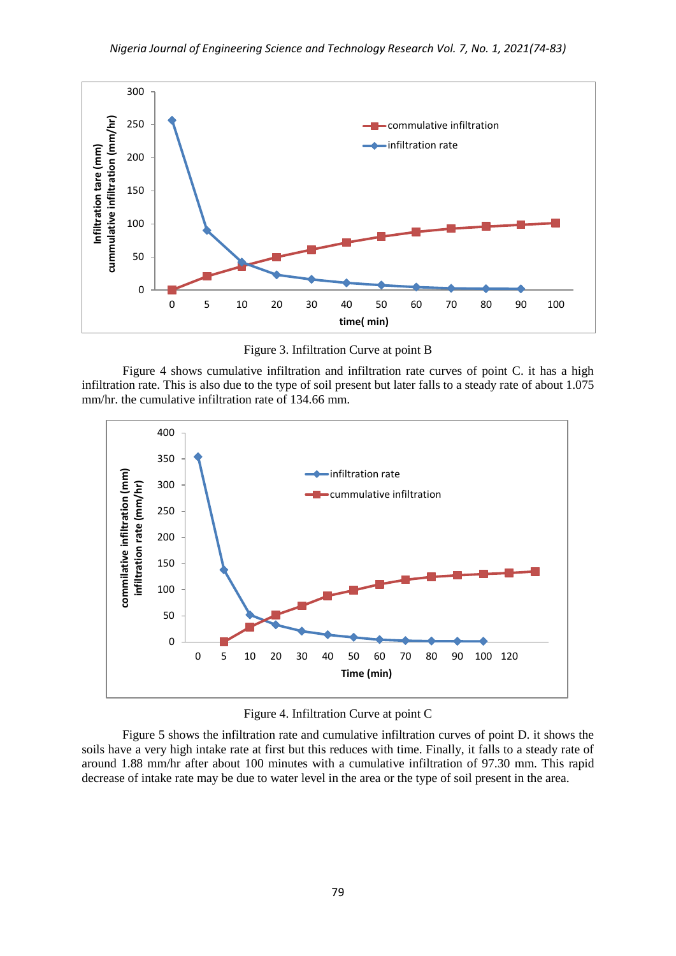

Figure 3. Infiltration Curve at point B

Figure 4 shows cumulative infiltration and infiltration rate curves of point C. it has a high infiltration rate. This is also due to the type of soil present but later falls to a steady rate of about 1.075 mm/hr. the cumulative infiltration rate of 134.66 mm.



Figure 4. Infiltration Curve at point C

Figure 5 shows the infiltration rate and cumulative infiltration curves of point D. it shows the soils have a very high intake rate at first but this reduces with time. Finally, it falls to a steady rate of around 1.88 mm/hr after about 100 minutes with a cumulative infiltration of 97.30 mm. This rapid decrease of intake rate may be due to water level in the area or the type of soil present in the area.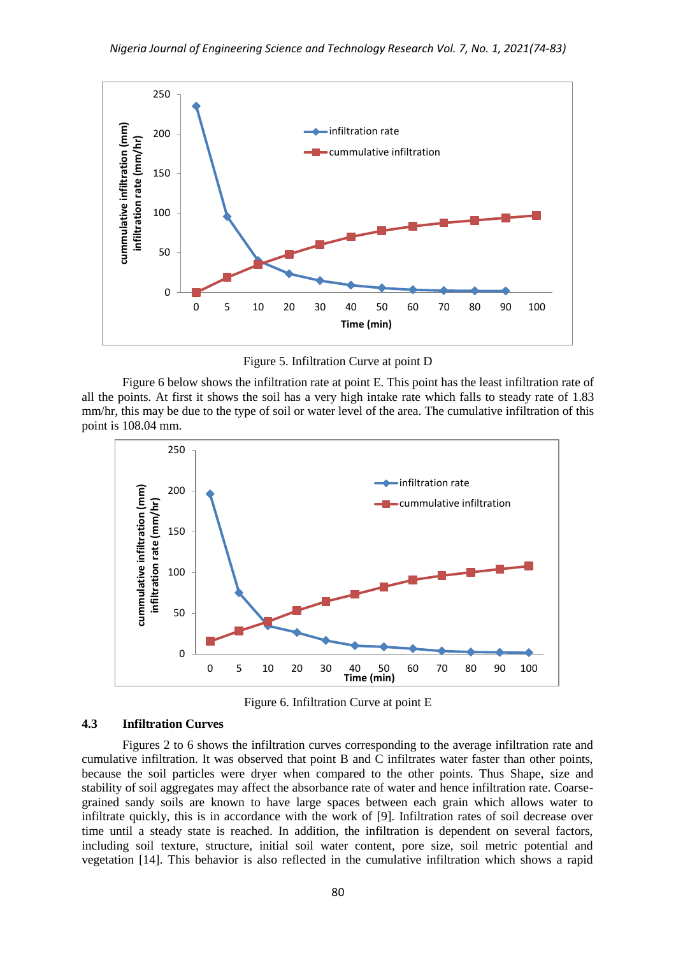

Figure 5. Infiltration Curve at point D

Figure 6 below shows the infiltration rate at point E. This point has the least infiltration rate of all the points. At first it shows the soil has a very high intake rate which falls to steady rate of 1.83 mm/hr, this may be due to the type of soil or water level of the area. The cumulative infiltration of this point is 108.04 mm.



Figure 6. Infiltration Curve at point E

#### **4.3 Infiltration Curves**

Figures 2 to 6 shows the infiltration curves corresponding to the average infiltration rate and cumulative infiltration. It was observed that point B and C infiltrates water faster than other points, because the soil particles were dryer when compared to the other points. Thus Shape, size and stability of soil aggregates may affect the absorbance rate of water and hence infiltration rate. Coarsegrained sandy soils are known to have large spaces between each grain which allows water to infiltrate quickly, this is in accordance with the work of [9]. Infiltration rates of soil decrease over time until a steady state is reached. In addition, the infiltration is dependent on several factors, including soil texture, structure, initial soil water content, pore size, soil metric potential and vegetation [14]. This behavior is also reflected in the cumulative infiltration which shows a rapid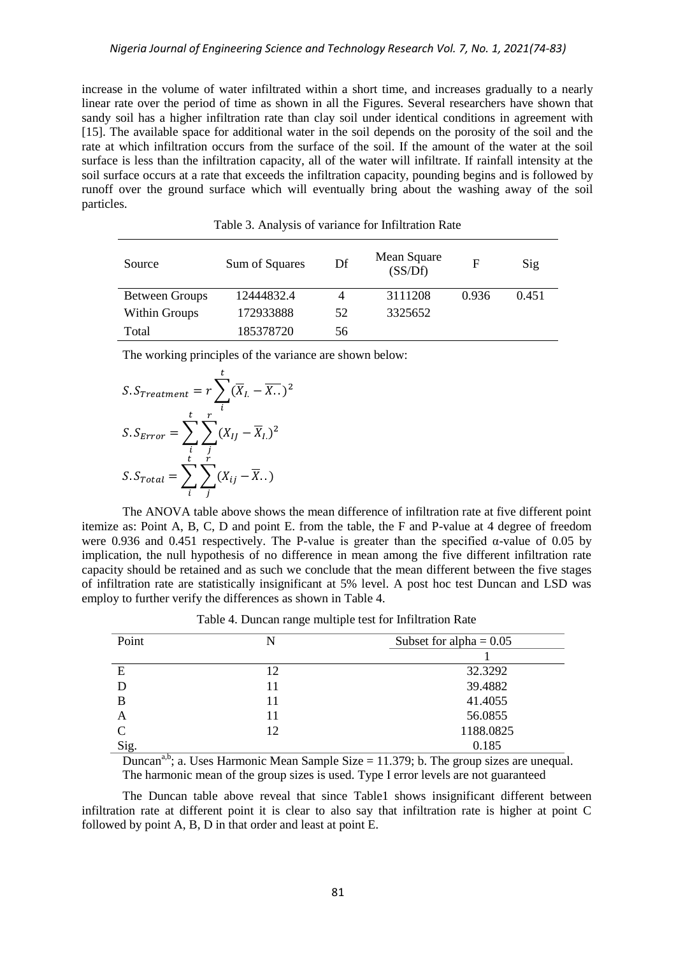increase in the volume of water infiltrated within a short time, and increases gradually to a nearly linear rate over the period of time as shown in all the Figures. Several researchers have shown that sandy soil has a higher infiltration rate than clay soil under identical conditions in agreement with [15]. The available space for additional water in the soil depends on the porosity of the soil and the rate at which infiltration occurs from the surface of the soil. If the amount of the water at the soil surface is less than the infiltration capacity, all of the water will infiltrate. If rainfall intensity at the soil surface occurs at a rate that exceeds the infiltration capacity, pounding begins and is followed by runoff over the ground surface which will eventually bring about the washing away of the soil particles.

| Source                | Sum of Squares | Df | Mean Square<br>(SS/Df) | F     | Sig   |
|-----------------------|----------------|----|------------------------|-------|-------|
| <b>Between Groups</b> | 12444832.4     | 4  | 3111208                | 0.936 | 0.451 |
| <b>Within Groups</b>  | 172933888      | 52 | 3325652                |       |       |
| Total                 | 185378720      | 56 |                        |       |       |

Table 3. Analysis of variance for Infiltration Rate

The working principles of the variance are shown below:

$$
S. S_{Treatment} = r \sum_{i}^{t} (\overline{X}_{L} - \overline{X}_{T})^{2}
$$

$$
S. S_{Error} = \sum_{i}^{t} \sum_{j}^{r} (X_{IJ} - \overline{X}_{L})^{2}
$$

$$
S. S_{Total} = \sum_{i}^{t} \sum_{j}^{r} (X_{ij} - \overline{X}_{T})
$$

The ANOVA table above shows the mean difference of infiltration rate at five different point itemize as: Point A, B, C, D and point E. from the table, the F and P-value at 4 degree of freedom were 0.936 and 0.451 respectively. The P-value is greater than the specified  $\alpha$ -value of 0.05 by implication, the null hypothesis of no difference in mean among the five different infiltration rate capacity should be retained and as such we conclude that the mean different between the five stages of infiltration rate are statistically insignificant at 5% level. A post hoc test Duncan and LSD was employ to further verify the differences as shown in Table 4.

| Point        | N  | Subset for alpha = $0.05$ |  |
|--------------|----|---------------------------|--|
|              |    |                           |  |
| E            | 12 | 32.3292                   |  |
| D            | 11 | 39.4882                   |  |
| B            | 11 | 41.4055                   |  |
| A            | 11 | 56.0855                   |  |
| $\mathsf{C}$ | 12 | 1188.0825                 |  |
| Sig.         |    | 0.185                     |  |

Table 4. Duncan range multiple test for Infiltration Rate

Duncan<sup>a,b</sup>; a. Uses Harmonic Mean Sample Size  $= 11.379$ ; b. The group sizes are unequal. The harmonic mean of the group sizes is used. Type I error levels are not guaranteed

The Duncan table above reveal that since Table1 shows insignificant different between infiltration rate at different point it is clear to also say that infiltration rate is higher at point C followed by point A, B, D in that order and least at point E.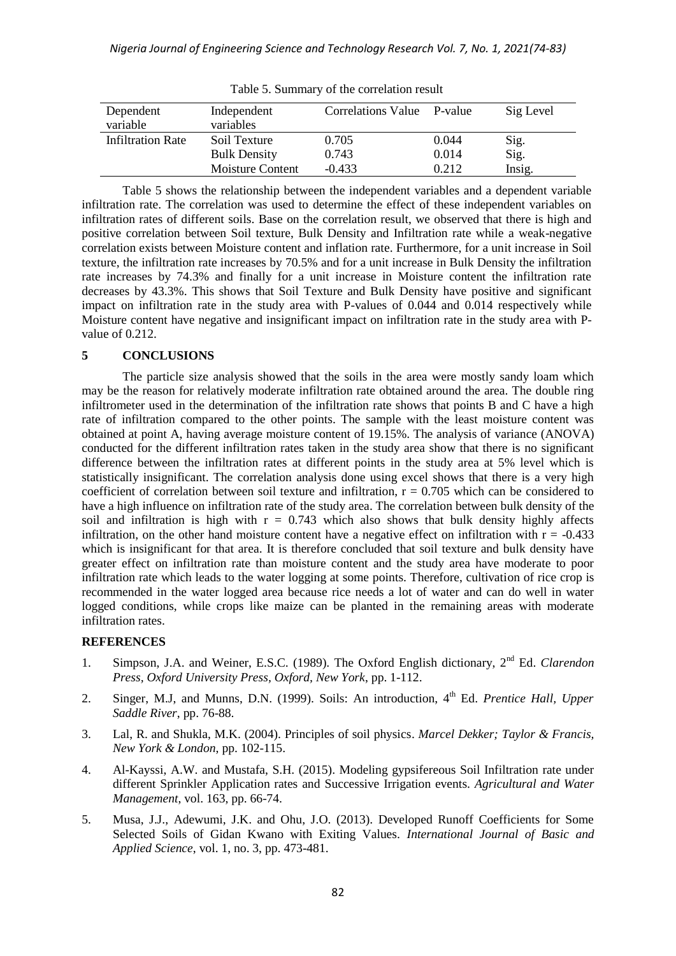| Dependent<br>variable | Independent<br>variables | Correlations Value P-value |       | Sig Level |
|-----------------------|--------------------------|----------------------------|-------|-----------|
| Infiltration Rate     | Soil Texture             | 0.705                      | 0.044 | Sig.      |
|                       | <b>Bulk Density</b>      | 0.743                      | 0.014 | Sig.      |
|                       | <b>Moisture Content</b>  | $-0.433$                   | 0.212 | Insig.    |

Table 5. Summary of the correlation result

Table 5 shows the relationship between the independent variables and a dependent variable infiltration rate. The correlation was used to determine the effect of these independent variables on infiltration rates of different soils. Base on the correlation result, we observed that there is high and positive correlation between Soil texture, Bulk Density and Infiltration rate while a weak-negative correlation exists between Moisture content and inflation rate. Furthermore, for a unit increase in Soil texture, the infiltration rate increases by 70.5% and for a unit increase in Bulk Density the infiltration rate increases by 74.3% and finally for a unit increase in Moisture content the infiltration rate decreases by 43.3%. This shows that Soil Texture and Bulk Density have positive and significant impact on infiltration rate in the study area with P-values of 0.044 and 0.014 respectively while Moisture content have negative and insignificant impact on infiltration rate in the study area with Pvalue of 0.212.

# **5 CONCLUSIONS**

The particle size analysis showed that the soils in the area were mostly sandy loam which may be the reason for relatively moderate infiltration rate obtained around the area. The double ring infiltrometer used in the determination of the infiltration rate shows that points B and C have a high rate of infiltration compared to the other points. The sample with the least moisture content was obtained at point A, having average moisture content of 19.15%. The analysis of variance (ANOVA) conducted for the different infiltration rates taken in the study area show that there is no significant difference between the infiltration rates at different points in the study area at 5% level which is statistically insignificant. The correlation analysis done using excel shows that there is a very high coefficient of correlation between soil texture and infiltration,  $r = 0.705$  which can be considered to have a high influence on infiltration rate of the study area. The correlation between bulk density of the soil and infiltration is high with  $r = 0.743$  which also shows that bulk density highly affects infiltration, on the other hand moisture content have a negative effect on infiltration with  $r = -0.433$ which is insignificant for that area. It is therefore concluded that soil texture and bulk density have greater effect on infiltration rate than moisture content and the study area have moderate to poor infiltration rate which leads to the water logging at some points. Therefore, cultivation of rice crop is recommended in the water logged area because rice needs a lot of water and can do well in water logged conditions, while crops like maize can be planted in the remaining areas with moderate infiltration rates.

# **REFERENCES**

- 1. Simpson, J.A. and Weiner, E.S.C. (1989). The Oxford English dictionary, 2nd Ed. *Clarendon Press, Oxford University Press, Oxford, New York*, pp. 1-112.
- 2. Singer, M.J, and Munns, D.N. (1999). Soils: An introduction, 4<sup>th</sup> Ed. *Prentice Hall, Upper Saddle River*, pp. 76-88.
- 3. Lal, R. and Shukla, M.K. (2004). Principles of soil physics. *Marcel Dekker; Taylor & Francis, New York & London*, pp. 102-115.
- 4. Al-Kayssi, A.W. and Mustafa, S.H. (2015). Modeling gypsifereous Soil Infiltration rate under different Sprinkler Application rates and Successive Irrigation events. *Agricultural and Water Management*, vol. 163, pp. 66-74.
- 5. Musa, J.J., Adewumi, J.K. and Ohu, J.O. (2013). Developed Runoff Coefficients for Some Selected Soils of Gidan Kwano with Exiting Values. *International Journal of Basic and Applied Science*, vol. 1, no. 3, pp. 473-481.